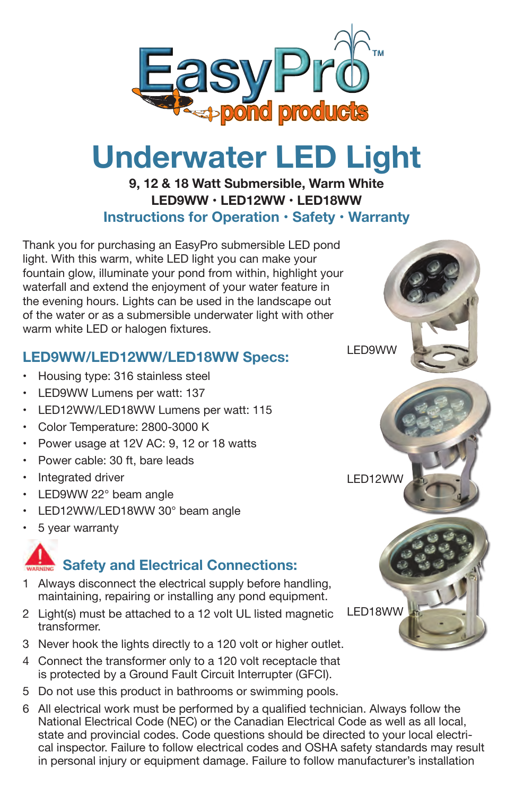

# **Underwater LED Light**

### **9, 12 & 18 Watt Submersible, Warm White LED9WW • LED12WW • LED18WW Instructions for Operation • Safety • Warranty**

Thank you for purchasing an EasyPro submersible LED pond light. With this warm, white LED light you can make your fountain glow, illuminate your pond from within, highlight your waterfall and extend the enjoyment of your water feature in the evening hours. Lights can be used in the landscape out of the water or as a submersible underwater light with other warm white LED or halogen fixtures.

## **LED9WW/LED12WW/LED18WW Specs:**

- Housing type: 316 stainless steel
- •LED9WW Lumens per watt: 137
- LED12WW/LED18WW Lumens per watt: 115
- Color Temperature: 2800-3000 K
- •Power usage at 12V AC: 9, 12 or 18 watts
- Power cable: 30 ft, bare leads
- Integrated driver
- LED9WW 22° beam angle
- LED12WW/LED18WW 30° beam angle
- 5 year warranty

# **Safety and Electrical Connections:**

- 1 Always disconnect the electrical supply before handling, maintaining, repairing or installing any pond equipment.
- 2 Light(s) must be attached to a 12 volt UL listed magnetic transformer.
- 3 Never hook the lights directly to a 120 volt or higher outlet.
- 4 Connect the transformer only to a 120 volt receptacle that is protected by a Ground Fault Circuit Interrupter (GFCI).
- 5 Do not use this product in bathrooms or swimming pools.
- 6 All electrical work must be performed by a qualified technician. Always follow the National Electrical Code (NEC) or the Canadian Electrical Code as well as all local, state and provincial codes. Code questions should be directed to your local electrical inspector. Failure to follow electrical codes and OSHA safety standards may result in personal injury or equipment damage. Failure to follow manufacturer's installation